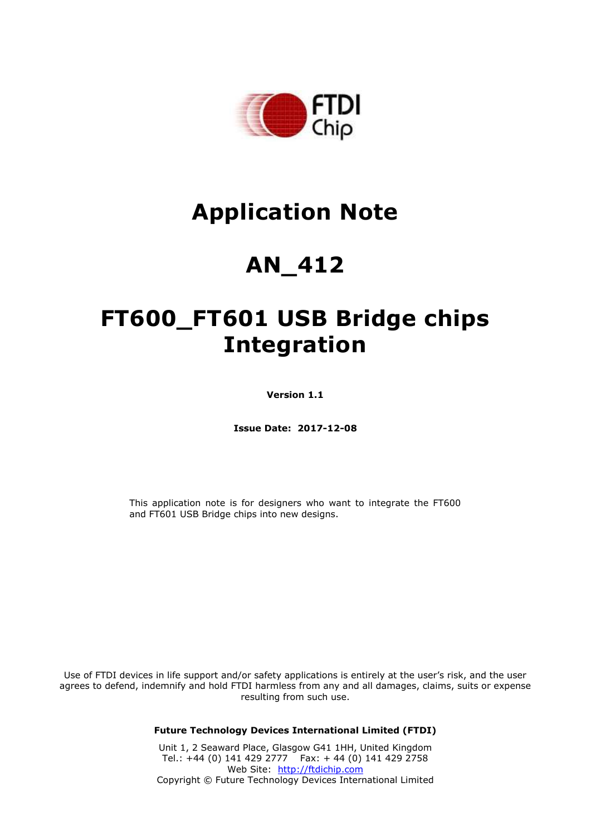

# **Application Note**

# **AN\_412**

# **FT600\_FT601 USB Bridge chips Integration**

**Version 1.1**

**Issue Date: 2017-12-08**

This application note is for designers who want to integrate the FT600 and FT601 USB Bridge chips into new designs.

Use of FTDI devices in life support and/or safety applications is entirely at the user's risk, and the user agrees to defend, indemnify and hold FTDI harmless from any and all damages, claims, suits or expense resulting from such use.

**Future Technology Devices International Limited (FTDI)**

Unit 1, 2 Seaward Place, Glasgow G41 1HH, United Kingdom Tel.: +44 (0) 141 429 2777 Fax: + 44 (0) 141 429 2758 Web Site: [http://ftdichip.com](http://ftdichip.com/) Copyright © Future Technology Devices International Limited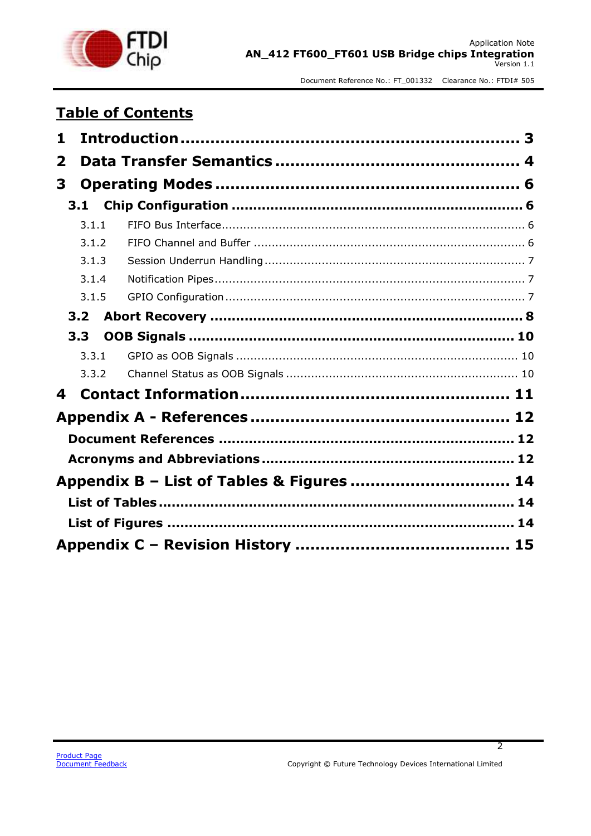

### **Table of Contents**

| 1                       |                                           |  |
|-------------------------|-------------------------------------------|--|
| $\overline{\mathbf{2}}$ |                                           |  |
| 3                       |                                           |  |
| 3.1                     |                                           |  |
| 3.1.1                   |                                           |  |
| 3.1.2                   |                                           |  |
| 3.1.3                   |                                           |  |
| 3.1.4                   |                                           |  |
| 3.1.5                   |                                           |  |
| 3.2                     |                                           |  |
| 3.3 <sub>2</sub>        |                                           |  |
| 3.3.1                   |                                           |  |
| 3.3.2                   |                                           |  |
| 4                       |                                           |  |
|                         |                                           |  |
|                         |                                           |  |
|                         |                                           |  |
|                         | Appendix B - List of Tables & Figures  14 |  |
|                         |                                           |  |
|                         |                                           |  |
|                         |                                           |  |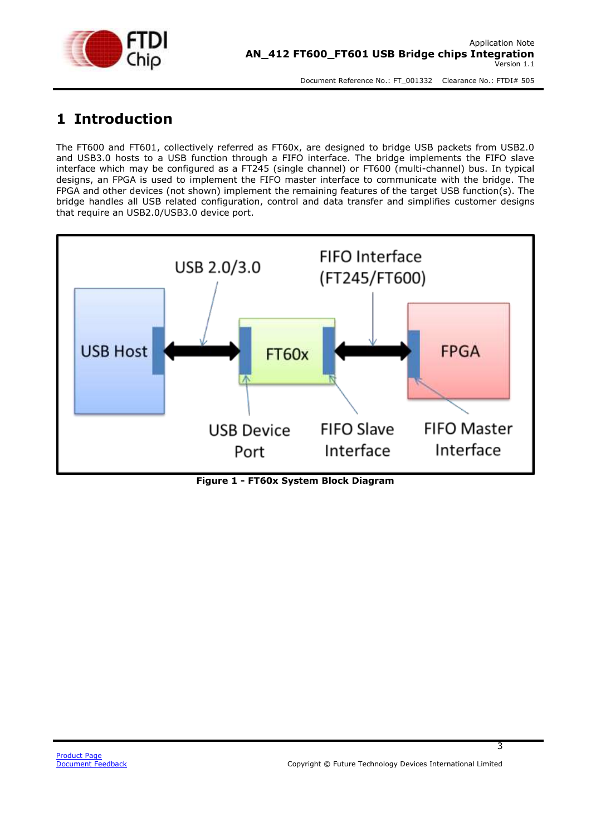

### <span id="page-2-0"></span>**1 Introduction**

The FT600 and FT601, collectively referred as FT60x, are designed to bridge USB packets from USB2.0 and USB3.0 hosts to a USB function through a FIFO interface. The bridge implements the FIFO slave interface which may be configured as a FT245 (single channel) or FT600 (multi-channel) bus. In typical designs, an FPGA is used to implement the FIFO master interface to communicate with the bridge. The FPGA and other devices (not shown) implement the remaining features of the target USB function(s). The bridge handles all USB related configuration, control and data transfer and simplifies customer designs that require an USB2.0/USB3.0 device port.



<span id="page-2-1"></span>**Figure 1 - FT60x System Block Diagram**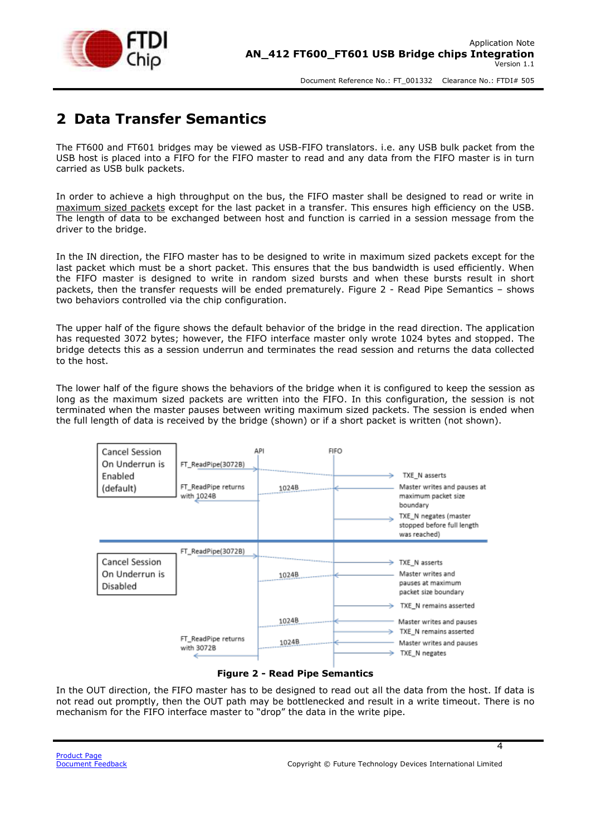

### <span id="page-3-0"></span>**2 Data Transfer Semantics**

The FT600 and FT601 bridges may be viewed as USB-FIFO translators. i.e. any USB bulk packet from the USB host is placed into a FIFO for the FIFO master to read and any data from the FIFO master is in turn carried as USB bulk packets.

In order to achieve a high throughput on the bus, the FIFO master shall be designed to read or write in maximum sized packets except for the last packet in a transfer. This ensures high efficiency on the USB. The length of data to be exchanged between host and function is carried in a session message from the driver to the bridge.

In the IN direction, the FIFO master has to be designed to write in maximum sized packets except for the last packet which must be a short packet. This ensures that the bus bandwidth is used efficiently. When the FIFO master is designed to write in random sized bursts and when these bursts result in short packets, then the transfer requests will be ended prematurely. Figure 2 - [Read Pipe Semantics](#page-3-1) – shows two behaviors controlled via the chip configuration.

The upper half of the figure shows the default behavior of the bridge in the read direction. The application has requested 3072 bytes; however, the FIFO interface master only wrote 1024 bytes and stopped. The bridge detects this as a session underrun and terminates the read session and returns the data collected to the host.

The lower half of the figure shows the behaviors of the bridge when it is configured to keep the session as long as the maximum sized packets are written into the FIFO. In this configuration, the session is not terminated when the master pauses between writing maximum sized packets. The session is ended when the full length of data is received by the bridge (shown) or if a short packet is written (not shown).



#### **Figure 2 - Read Pipe Semantics**

<span id="page-3-1"></span>In the OUT direction, the FIFO master has to be designed to read out all the data from the host. If data is not read out promptly, then the OUT path may be bottlenecked and result in a write timeout. There is no mechanism for the FIFO interface master to "drop" the data in the write pipe.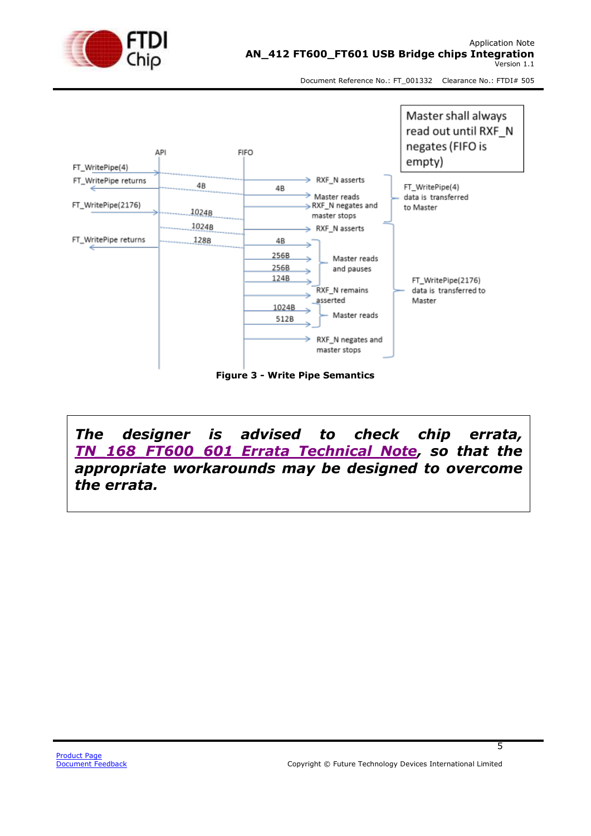



<span id="page-4-0"></span>*The designer is advised to check chip errata, [TN\\_168\\_FT600\\_601 Errata Technical Note,](http://www.ftdichip.com/Support/Documents/TechnicalNotes/TN_168_FT600_601%20Errata%20Technical%20Note.pdf) so that the appropriate workarounds may be designed to overcome the errata.*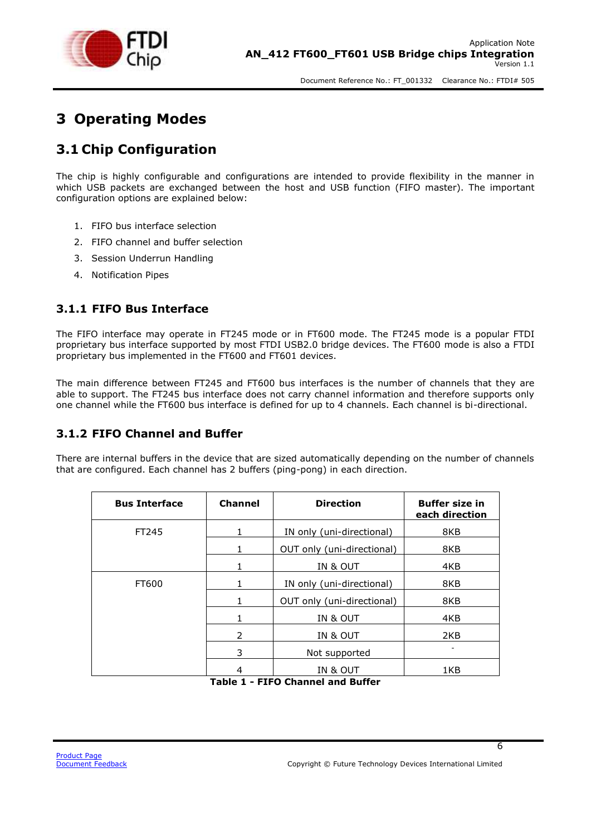

### <span id="page-5-0"></span>**3 Operating Modes**

### <span id="page-5-1"></span>**3.1 Chip Configuration**

The chip is highly configurable and configurations are intended to provide flexibility in the manner in which USB packets are exchanged between the host and USB function (FIFO master). The important configuration options are explained below:

- 1. FIFO bus interface selection
- 2. FIFO channel and buffer selection
- 3. Session Underrun Handling
- 4. Notification Pipes

### <span id="page-5-2"></span>**3.1.1 FIFO Bus Interface**

The FIFO interface may operate in FT245 mode or in FT600 mode. The FT245 mode is a popular FTDI proprietary bus interface supported by most FTDI USB2.0 bridge devices. The FT600 mode is also a FTDI proprietary bus implemented in the FT600 and FT601 devices.

The main difference between FT245 and FT600 bus interfaces is the number of channels that they are able to support. The FT245 bus interface does not carry channel information and therefore supports only one channel while the FT600 bus interface is defined for up to 4 channels. Each channel is bi-directional.

#### <span id="page-5-3"></span>**3.1.2 FIFO Channel and Buffer**

There are internal buffers in the device that are sized automatically depending on the number of channels that are configured. Each channel has 2 buffers (ping-pong) in each direction.

| <b>Bus Interface</b> | <b>Channel</b> | <b>Direction</b>           | <b>Buffer size in</b><br>each direction |
|----------------------|----------------|----------------------------|-----------------------------------------|
| FT245                | 1              | IN only (uni-directional)  | 8KB                                     |
|                      | 1              | OUT only (uni-directional) | 8KB                                     |
|                      | 1              | IN & OUT                   | 4KB                                     |
| FT600                | 1              | IN only (uni-directional)  | 8KB                                     |
|                      | 1              | OUT only (uni-directional) | 8KB                                     |
|                      | 1              | IN & OUT                   | 4KB                                     |
|                      | 2              | IN & OUT                   | 2KB                                     |
|                      | 3              | Not supported              |                                         |
|                      | - - -          | IN & OUT<br>--             | 1KB                                     |

<span id="page-5-4"></span>**Table 1 - FIFO Channel and Buffer**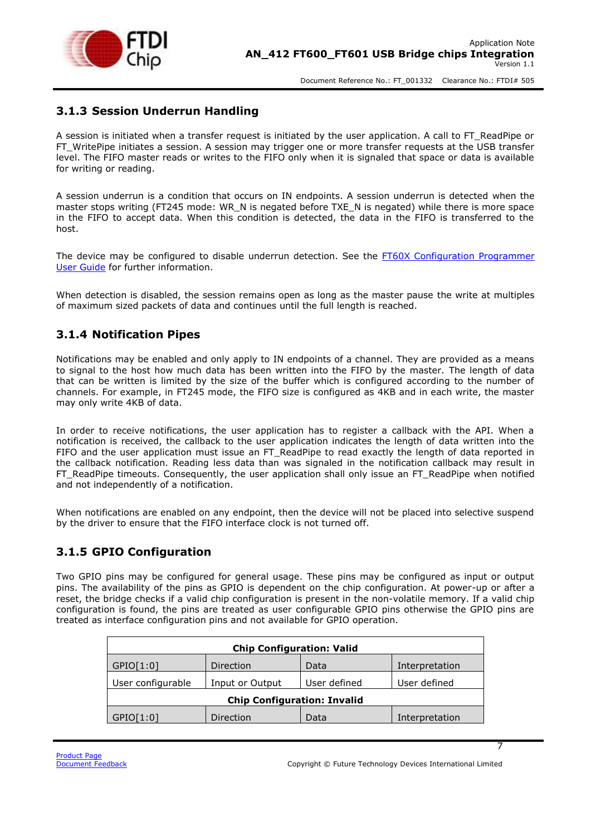

#### <span id="page-6-0"></span>**3.1.3 Session Underrun Handling**

A session is initiated when a transfer request is initiated by the user application. A call to FT\_ReadPipe or FT\_WritePipe initiates a session. A session may trigger one or more transfer requests at the USB transfer level. The FIFO master reads or writes to the FIFO only when it is signaled that space or data is available for writing or reading.

A session underrun is a condition that occurs on IN endpoints. A session underrun is detected when the master stops writing (FT245 mode: WR\_N is negated before TXE\_N is negated) while there is more space in the FIFO to accept data. When this condition is detected, the data in the FIFO is transferred to the host.

The device may be configured to disable underrun detection. See the FT60X [Configuration Programmer](http://www.ftdichip.com/Support/Documents/AppNotes/AN_370%20FT60X%20Configuration%20Programmer%20User%20Guide.pdf)  [User Guide](http://www.ftdichip.com/Support/Documents/AppNotes/AN_370%20FT60X%20Configuration%20Programmer%20User%20Guide.pdf) for further information.

When detection is disabled, the session remains open as long as the master pause the write at multiples of maximum sized packets of data and continues until the full length is reached.

#### <span id="page-6-1"></span>**3.1.4 Notification Pipes**

Notifications may be enabled and only apply to IN endpoints of a channel. They are provided as a means to signal to the host how much data has been written into the FIFO by the master. The length of data that can be written is limited by the size of the buffer which is configured according to the number of channels. For example, in FT245 mode, the FIFO size is configured as 4KB and in each write, the master may only write 4KB of data.

In order to receive notifications, the user application has to register a callback with the API. When a notification is received, the callback to the user application indicates the length of data written into the FIFO and the user application must issue an FT\_ReadPipe to read exactly the length of data reported in the callback notification. Reading less data than was signaled in the notification callback may result in FT\_ReadPipe timeouts. Consequently, the user application shall only issue an FT\_ReadPipe when notified and not independently of a notification.

When notifications are enabled on any endpoint, then the device will not be placed into selective suspend by the driver to ensure that the FIFO interface clock is not turned off.

#### <span id="page-6-2"></span>**3.1.5 GPIO Configuration**

Two GPIO pins may be configured for general usage. These pins may be configured as input or output pins. The availability of the pins as GPIO is dependent on the chip configuration. At power-up or after a reset, the bridge checks if a valid chip configuration is present in the non-volatile memory. If a valid chip configuration is found, the pins are treated as user configurable GPIO pins otherwise the GPIO pins are treated as interface configuration pins and not available for GPIO operation.

| <b>Chip Configuration: Valid</b>     |           |              |                |  |
|--------------------------------------|-----------|--------------|----------------|--|
| GPIO[1:0]                            | Direction | Data         | Interpretation |  |
| User configurable<br>Input or Output |           | User defined | User defined   |  |
| <b>Chip Configuration: Invalid</b>   |           |              |                |  |
| GPIO[1:0]                            | Direction | Data         | Interpretation |  |
|                                      |           |              |                |  |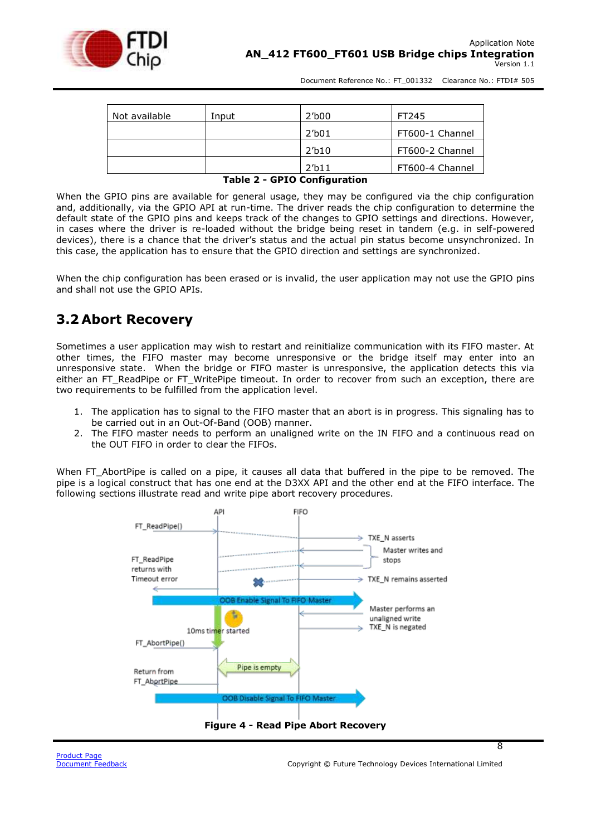

| Not available | Input | 2′b00           | FT245           |
|---------------|-------|-----------------|-----------------|
|               |       | 2′b01           | FT600-1 Channel |
|               |       | 2'b10           | FT600-2 Channel |
|               |       | 2 <sub>11</sub> | FT600-4 Channel |

#### **Table 2 - GPIO Configuration**

<span id="page-7-1"></span>When the GPIO pins are available for general usage, they may be configured via the chip configuration and, additionally, via the GPIO API at run-time. The driver reads the chip configuration to determine the default state of the GPIO pins and keeps track of the changes to GPIO settings and directions. However, in cases where the driver is re-loaded without the bridge being reset in tandem (e.g. in self-powered devices), there is a chance that the driver's status and the actual pin status become unsynchronized. In this case, the application has to ensure that the GPIO direction and settings are synchronized.

When the chip configuration has been erased or is invalid, the user application may not use the GPIO pins and shall not use the GPIO APIs.

### <span id="page-7-0"></span>**3.2 Abort Recovery**

Sometimes a user application may wish to restart and reinitialize communication with its FIFO master. At other times, the FIFO master may become unresponsive or the bridge itself may enter into an unresponsive state. When the bridge or FIFO master is unresponsive, the application detects this via either an FT\_ReadPipe or FT\_WritePipe timeout. In order to recover from such an exception, there are two requirements to be fulfilled from the application level.

- 1. The application has to signal to the FIFO master that an abort is in progress. This signaling has to be carried out in an Out-Of-Band (OOB) manner.
- 2. The FIFO master needs to perform an unaligned write on the IN FIFO and a continuous read on the OUT FIFO in order to clear the FIFOs.

When FT\_AbortPipe is called on a pipe, it causes all data that buffered in the pipe to be removed. The pipe is a logical construct that has one end at the D3XX API and the other end at the FIFO interface. The following sections illustrate read and write pipe abort recovery procedures.

<span id="page-7-2"></span>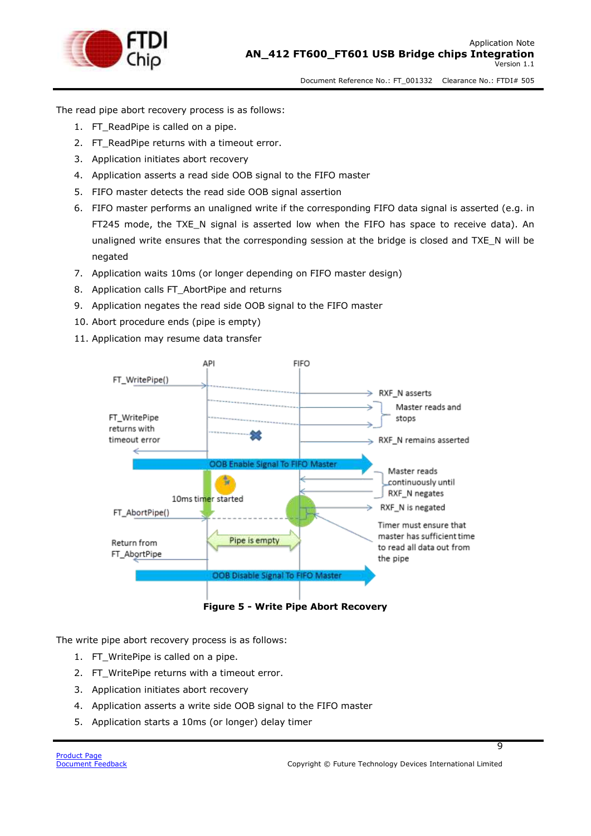

The read pipe abort recovery process is as follows:

- 1. FT\_ReadPipe is called on a pipe.
- 2. FT\_ReadPipe returns with a timeout error.
- 3. Application initiates abort recovery
- 4. Application asserts a read side OOB signal to the FIFO master
- 5. FIFO master detects the read side OOB signal assertion
- 6. FIFO master performs an unaligned write if the corresponding FIFO data signal is asserted (e.g. in FT245 mode, the TXE\_N signal is asserted low when the FIFO has space to receive data). An unaligned write ensures that the corresponding session at the bridge is closed and TXE\_N will be negated
- 7. Application waits 10ms (or longer depending on FIFO master design)
- 8. Application calls FT\_AbortPipe and returns
- 9. Application negates the read side OOB signal to the FIFO master
- 10. Abort procedure ends (pipe is empty)
- 11. Application may resume data transfer



**Figure 5 - Write Pipe Abort Recovery**

<span id="page-8-0"></span>The write pipe abort recovery process is as follows:

- 1. FT\_WritePipe is called on a pipe.
- 2. FT\_WritePipe returns with a timeout error.
- 3. Application initiates abort recovery
- 4. Application asserts a write side OOB signal to the FIFO master
- 5. Application starts a 10ms (or longer) delay timer

ত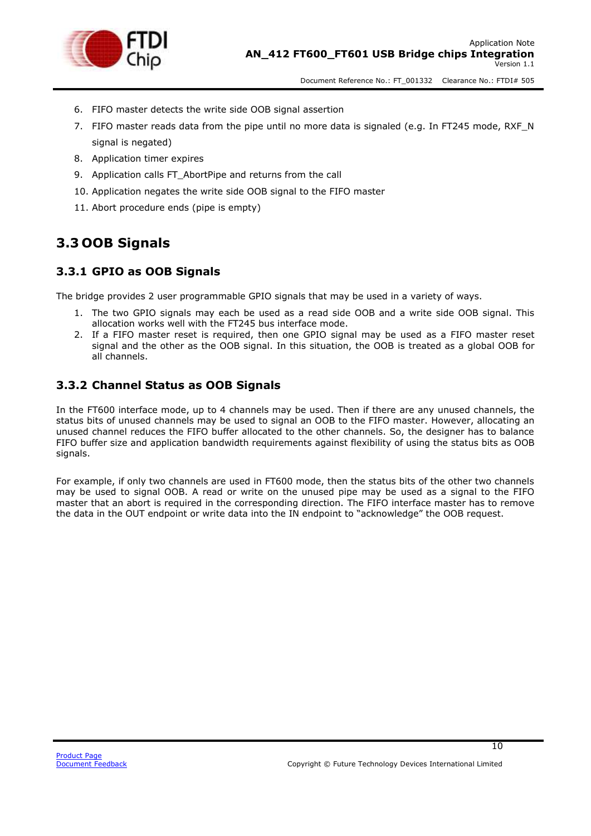

- 6. FIFO master detects the write side OOB signal assertion
- 7. FIFO master reads data from the pipe until no more data is signaled (e.g. In FT245 mode, RXF\_N signal is negated)
- 8. Application timer expires
- 9. Application calls FT AbortPipe and returns from the call
- 10. Application negates the write side OOB signal to the FIFO master
- 11. Abort procedure ends (pipe is empty)

### <span id="page-9-0"></span>**3.3 OOB Signals**

#### <span id="page-9-1"></span>**3.3.1 GPIO as OOB Signals**

The bridge provides 2 user programmable GPIO signals that may be used in a variety of ways.

- 1. The two GPIO signals may each be used as a read side OOB and a write side OOB signal. This allocation works well with the FT245 bus interface mode.
- 2. If a FIFO master reset is required, then one GPIO signal may be used as a FIFO master reset signal and the other as the OOB signal. In this situation, the OOB is treated as a global OOB for all channels.

#### <span id="page-9-2"></span>**3.3.2 Channel Status as OOB Signals**

In the FT600 interface mode, up to 4 channels may be used. Then if there are any unused channels, the status bits of unused channels may be used to signal an OOB to the FIFO master. However, allocating an unused channel reduces the FIFO buffer allocated to the other channels. So, the designer has to balance FIFO buffer size and application bandwidth requirements against flexibility of using the status bits as OOB signals.

For example, if only two channels are used in FT600 mode, then the status bits of the other two channels may be used to signal OOB. A read or write on the unused pipe may be used as a signal to the FIFO master that an abort is required in the corresponding direction. The FIFO interface master has to remove the data in the OUT endpoint or write data into the IN endpoint to "acknowledge" the OOB request.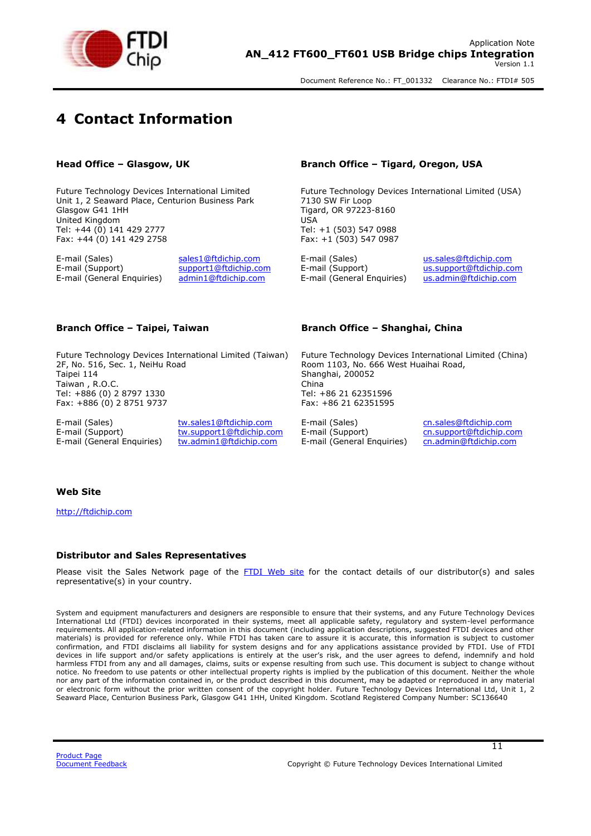

### <span id="page-10-0"></span>**4 Contact Information**

Future Technology Devices International Limited Unit 1, 2 Seaward Place, Centurion Business Park Glasgow G41 1HH United Kingdom Tel: +44 (0) 141 429 2777 Fax: +44 (0) 141 429 2758

E-mail (Sales) [sales1@ftdichip.com](mailto:sales1@ftdichip.com) E-mail (Sales) [us.sales@ftdichip.com](mailto:us.sales@ftdichip.com) E-mail (General Enquiries) [admin1@ftdichip.com](mailto:admin1@ftdichip.com) E-mail (General Enquiries) [us.admin@ftdichip.com](mailto:us.admin@ftdichip.com)

Future Technology Devices International Limited (Taiwan) 2F, No. 516, Sec. 1, NeiHu Road Taipei 114 Taiwan , R.O.C. Tel: +886 (0) 2 8797 1330 Fax: +886 (0) 2 8751 9737

E-mail (Sales) [tw.sales1@ftdichip.com](mailto:tw.sales1@ftdichip.com) E-mail (Sales) [cn.sales@ftdichip.com](mailto:cn.sales@ftdichip.com)<br>E-mail (Support) tw.support1@ftdichip.com E-mail (Support) cn.support@ftdichip.co E-mail (Support) [tw.support1@ftdichip.com](mailto:tw.support1@ftdichip.com) E-mail (Support) [cn.support@ftdichip.com](mailto:cn.support@ftdichip.com)<br>E-mail (General Enquiries) tw.admin1@f<u>tdichip.com</u> E-mail (General Enquiries) cn.admin@ftdichip.com E-mail (General Enquiries) [tw.admin1@ftdichip.com](mailto:tw.admin1@ftdichip.com) E-mail (General Enquiries)

#### **Head Office – Glasgow, UK Branch Office – Tigard, Oregon, USA**

Future Technology Devices International Limited (USA) 7130 SW Fir Loop Tigard, OR 97223-8160 USA Tel: +1 (503) 547 0988 Fax: +1 (503) 547 0987

 $\overline{\phantom{a}}$ [us.support@ftdichip.com](mailto:us.support@ftdichip.com)

#### **Branch Office – Taipei, Taiwan Branch Office – Shanghai, China**

Future Technology Devices International Limited (China) Room 1103, No. 666 West Huaihai Road, Shanghai, 200052 China Tel: +86 21 62351596 Fax: +86 21 62351595

#### **Web Site**

[http://ftdichip.com](http://ftdichip.com/)

#### **Distributor and Sales Representatives**

Please visit the Sales Network page of the FTDI [Web site](http://ftdichip.com/) for the contact details of our distributor(s) and sales representative(s) in your country.

System and equipment manufacturers and designers are responsible to ensure that their systems, and any Future Technology Devices International Ltd (FTDI) devices incorporated in their systems, meet all applicable safety, regulatory and system-level performance requirements. All application-related information in this document (including application descriptions, suggested FTDI devices and other materials) is provided for reference only. While FTDI has taken care to assure it is accurate, this information is subject to customer confirmation, and FTDI disclaims all liability for system designs and for any applications assistance provided by FTDI. Use of FTDI devices in life support and/or safety applications is entirely at the user's risk, and the user agrees to defend, indemnify and hold harmless FTDI from any and all damages, claims, suits or expense resulting from such use. This document is subject to change without notice. No freedom to use patents or other intellectual property rights is implied by the publication of this document. Neither the whole nor any part of the information contained in, or the product described in this document, may be adapted or reproduced in any material or electronic form without the prior written consent of the copyright holder. Future Technology Devices International Ltd, Unit 1, 2 Seaward Place, Centurion Business Park, Glasgow G41 1HH, United Kingdom. Scotland Registered Company Number: SC136640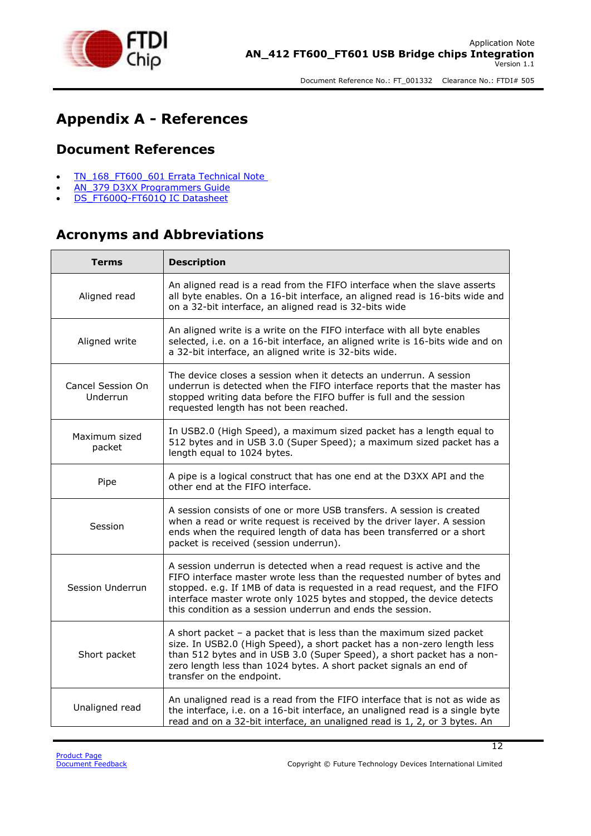

### <span id="page-11-0"></span>**Appendix A - References**

### <span id="page-11-1"></span>**Document References**

- TN 168 FT600 601 Errata Technical Note
- AN 379 D3XX [Programmers Guide](http://www.ftdichip.com/Support/Documents/ProgramGuides/AN_379%2520D3xx%2520Programmers%2520Guide.pdf)
- [DS\\_FT600Q-FT601Q IC Datasheet](http://www.ftdichip.com/Support/Documents/DataSheets/ICs/DS_FT600Q-FT601Q%2520IC%2520Datasheet.pdf)

### <span id="page-11-2"></span>**Acronyms and Abbreviations**

| <b>Terms</b>                  | <b>Description</b>                                                                                                                                                                                                                                                                                                                                                   |
|-------------------------------|----------------------------------------------------------------------------------------------------------------------------------------------------------------------------------------------------------------------------------------------------------------------------------------------------------------------------------------------------------------------|
| Aligned read                  | An aligned read is a read from the FIFO interface when the slave asserts<br>all byte enables. On a 16-bit interface, an aligned read is 16-bits wide and<br>on a 32-bit interface, an aligned read is 32-bits wide                                                                                                                                                   |
| Aligned write                 | An aligned write is a write on the FIFO interface with all byte enables<br>selected, i.e. on a 16-bit interface, an aligned write is 16-bits wide and on<br>a 32-bit interface, an aligned write is 32-bits wide.                                                                                                                                                    |
| Cancel Session On<br>Underrun | The device closes a session when it detects an underrun. A session<br>underrun is detected when the FIFO interface reports that the master has<br>stopped writing data before the FIFO buffer is full and the session<br>requested length has not been reached.                                                                                                      |
| Maximum sized<br>packet       | In USB2.0 (High Speed), a maximum sized packet has a length equal to<br>512 bytes and in USB 3.0 (Super Speed); a maximum sized packet has a<br>length equal to 1024 bytes.                                                                                                                                                                                          |
| Pipe                          | A pipe is a logical construct that has one end at the D3XX API and the<br>other end at the FIFO interface.                                                                                                                                                                                                                                                           |
| Session                       | A session consists of one or more USB transfers. A session is created<br>when a read or write request is received by the driver layer. A session<br>ends when the required length of data has been transferred or a short<br>packet is received (session underrun).                                                                                                  |
| Session Underrun              | A session underrun is detected when a read request is active and the<br>FIFO interface master wrote less than the requested number of bytes and<br>stopped. e.g. If 1MB of data is requested in a read request, and the FIFO<br>interface master wrote only 1025 bytes and stopped, the device detects<br>this condition as a session underrun and ends the session. |
| Short packet                  | A short packet $-$ a packet that is less than the maximum sized packet<br>size. In USB2.0 (High Speed), a short packet has a non-zero length less<br>than 512 bytes and in USB 3.0 (Super Speed), a short packet has a non-<br>zero length less than 1024 bytes. A short packet signals an end of<br>transfer on the endpoint.                                       |
| Unaligned read                | An unaligned read is a read from the FIFO interface that is not as wide as<br>the interface, i.e. on a 16-bit interface, an unaligned read is a single byte<br>read and on a 32-bit interface, an unaligned read is 1, 2, or 3 bytes. An                                                                                                                             |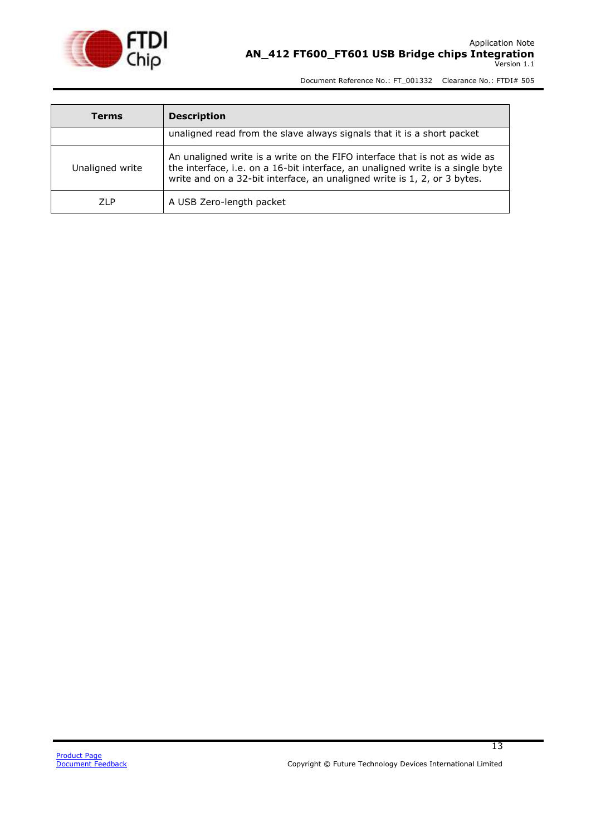

| Terms           | <b>Description</b>                                                                                                                                                                                                                       |
|-----------------|------------------------------------------------------------------------------------------------------------------------------------------------------------------------------------------------------------------------------------------|
|                 | unaligned read from the slave always signals that it is a short packet                                                                                                                                                                   |
| Unaligned write | An unaligned write is a write on the FIFO interface that is not as wide as<br>the interface, i.e. on a 16-bit interface, an unaligned write is a single byte<br>write and on a 32-bit interface, an unaligned write is 1, 2, or 3 bytes. |
| <b>ZLP</b>      | A USB Zero-length packet                                                                                                                                                                                                                 |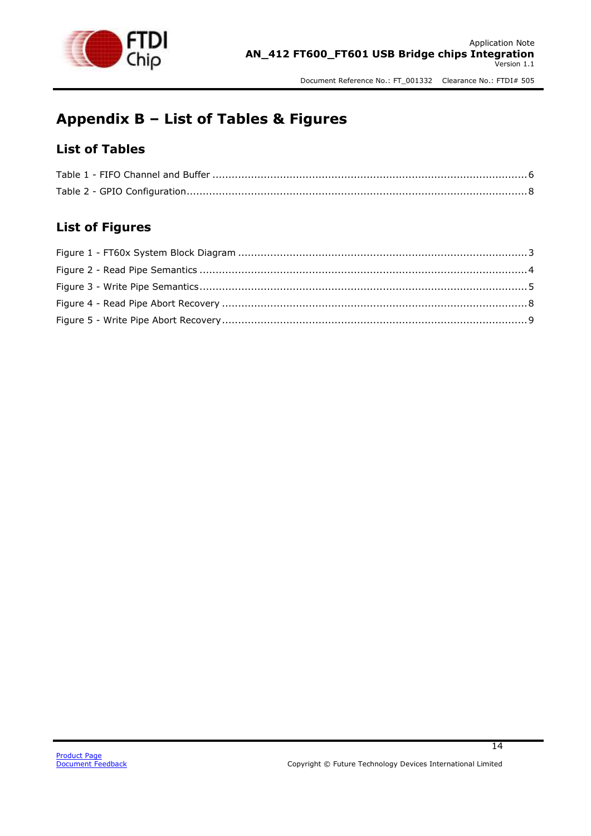

### <span id="page-13-0"></span>**Appendix B – List of Tables & Figures**

### <span id="page-13-1"></span>**List of Tables**

### <span id="page-13-2"></span>**List of Figures**